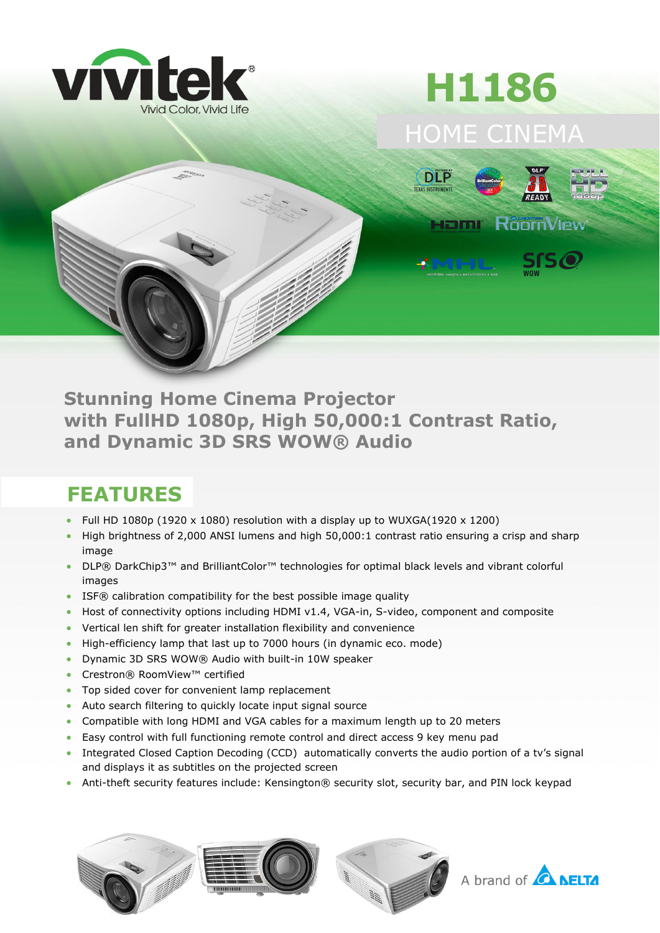

## HOME CINEMA **H1186**



**Stunning Home Cinema Projector with FullHD 1080p, High 50,000:1 Contrast Ratio, and Dynamic 3D SRS WOW® Audio**

## **FEATURES**

- Full HD 1080p (1920 x 1080) resolution with a display up to WUXGA(1920 x 1200)
- High brightness of 2,000 ANSI lumens and high 50,000:1 contrast ratio ensuring a crisp and sharp image
- DLP® DarkChip3™ and BrilliantColor<sup>™</sup> technologies for optimal black levels and vibrant colorful images
- ISF® calibration compatibility for the best possible image quality
- Host of connectivity options including HDMI v1.4, VGA-in, S-video, component and composite
- Vertical len shift for greater installation flexibility and convenience
- High-efficiency lamp that last up to 7000 hours (in dynamic eco. mode)
- Dynamic 3D SRS WOW® Audio with built-in 10W speaker
- Crestron® RoomView™ certified
- Top sided cover for convenient lamp replacement
- Auto search filtering to quickly locate input signal source
- Compatible with long HDMI and VGA cables for a maximum length up to 20 meters
- Easy control with full functioning remote control and direct access 9 key menu pad
- Integrated Closed Caption Decoding (CCD) automatically converts the audio portion of a tv's signal and displays it as subtitles on the projected screen
- Anti-theft security features include: Kensington® security slot, security bar, and PIN lock keypad